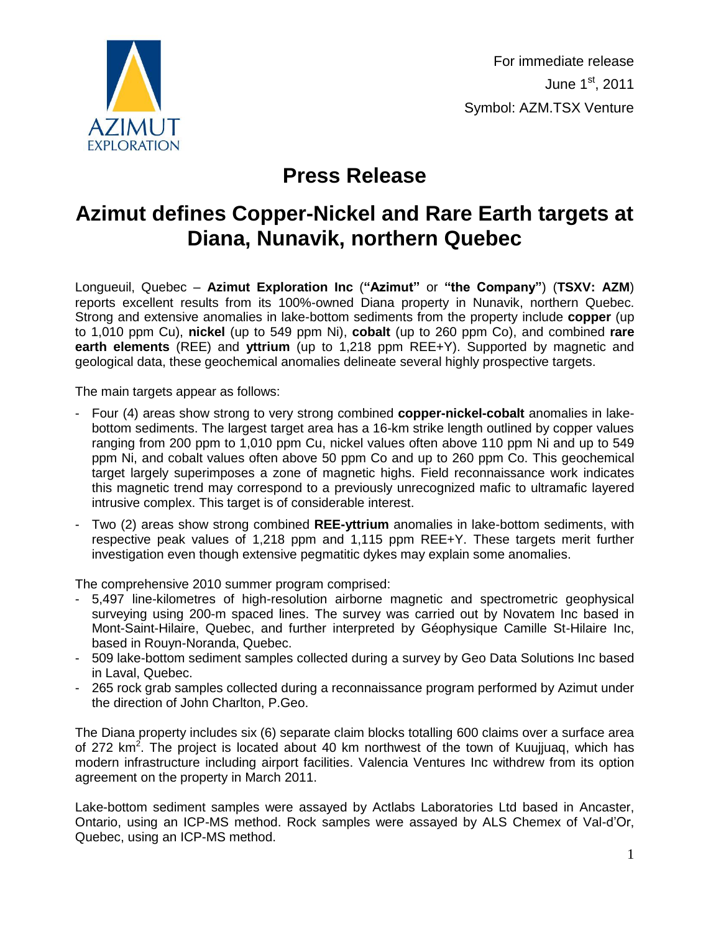

## **Press Release**

## **Azimut defines Copper-Nickel and Rare Earth targets at Diana, Nunavik, northern Quebec**

Longueuil, Quebec – **Azimut Exploration Inc** (**"Azimut"** or **"the Company"**) (**TSXV: AZM**) reports excellent results from its 100%-owned Diana property in Nunavik, northern Quebec. Strong and extensive anomalies in lake-bottom sediments from the property include **copper** (up to 1,010 ppm Cu), **nickel** (up to 549 ppm Ni), **cobalt** (up to 260 ppm Co), and combined **rare earth elements** (REE) and **yttrium** (up to 1,218 ppm REE+Y). Supported by magnetic and geological data, these geochemical anomalies delineate several highly prospective targets.

The main targets appear as follows:

- Four (4) areas show strong to very strong combined **copper-nickel-cobalt** anomalies in lakebottom sediments. The largest target area has a 16-km strike length outlined by copper values ranging from 200 ppm to 1,010 ppm Cu, nickel values often above 110 ppm Ni and up to 549 ppm Ni, and cobalt values often above 50 ppm Co and up to 260 ppm Co. This geochemical target largely superimposes a zone of magnetic highs. Field reconnaissance work indicates this magnetic trend may correspond to a previously unrecognized mafic to ultramafic layered intrusive complex. This target is of considerable interest.
- Two (2) areas show strong combined **REE-yttrium** anomalies in lake-bottom sediments, with respective peak values of 1,218 ppm and 1,115 ppm REE+Y. These targets merit further investigation even though extensive pegmatitic dykes may explain some anomalies.

The comprehensive 2010 summer program comprised:

- 5,497 line-kilometres of high-resolution airborne magnetic and spectrometric geophysical surveying using 200-m spaced lines. The survey was carried out by Novatem Inc based in Mont-Saint-Hilaire, Quebec, and further interpreted by Géophysique Camille St-Hilaire Inc, based in Rouyn-Noranda, Quebec.
- 509 lake-bottom sediment samples collected during a survey by Geo Data Solutions Inc based in Laval, Quebec.
- 265 rock grab samples collected during a reconnaissance program performed by Azimut under the direction of John Charlton, P.Geo.

The Diana property includes six (6) separate claim blocks totalling 600 claims over a surface area of 272 km<sup>2</sup>. The project is located about 40 km northwest of the town of Kuujjuaq, which has modern infrastructure including airport facilities. Valencia Ventures Inc withdrew from its option agreement on the property in March 2011.

Lake-bottom sediment samples were assayed by Actlabs Laboratories Ltd based in Ancaster, Ontario, using an ICP-MS method. Rock samples were assayed by ALS Chemex of Val-d'Or, Quebec, using an ICP-MS method.